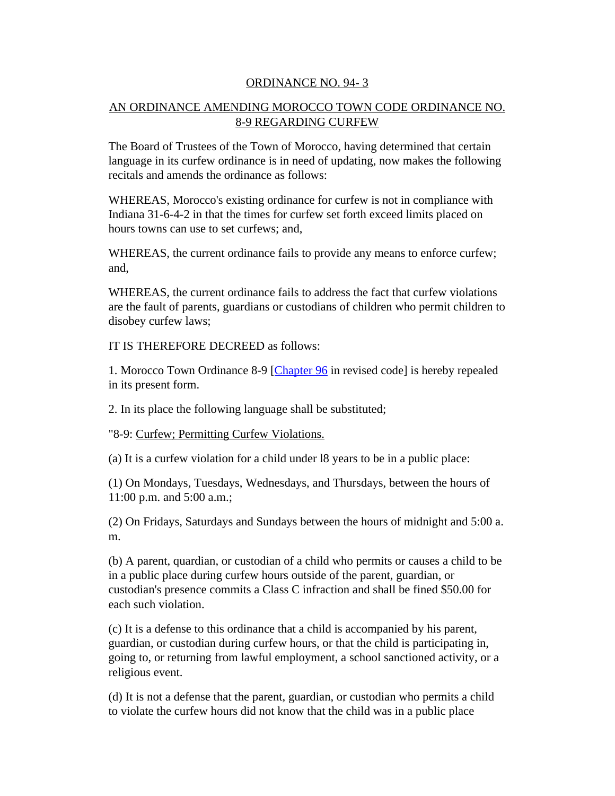## ORDINANCE NO. 94- 3

## AN ORDINANCE AMENDING MOROCCO TOWN CODE ORDINANCE NO. 8-9 REGARDING CURFEW

The Board of Trustees of the Town of Morocco, having determined that certain language in its curfew ordinance is in need of updating, now makes the following recitals and amends the ordinance as follows:

WHEREAS, Morocco's existing ordinance for curfew is not in compliance with Indiana 31-6-4-2 in that the times for curfew set forth exceed limits placed on hours towns can use to set curfews; and,

WHEREAS, the current ordinance fails to provide any means to enforce curfew; and,

WHEREAS, the current ordinance fails to address the fact that curfew violations are the fault of parents, guardians or custodians of children who permit children to disobey curfew laws;

IT IS THEREFORE DECREED as follows:

1. Morocco Town Ordinance 8-9 [Chapter 96 in revised code] is hereby repealed in its present form.

2. In its place the following language shall be substituted;

"8-9: Curfew; Permitting Curfew Violations.

(a) It is a curfew violation for a child under l8 years to be in a public place:

(1) On Mondays, Tuesdays, Wednesdays, and Thursdays, between the hours of 11:00 p.m. and 5:00 a.m.;

(2) On Fridays, Saturdays and Sundays between the hours of midnight and 5:00 a. m.

(b) A parent, quardian, or custodian of a child who permits or causes a child to be in a public place during curfew hours outside of the parent, guardian, or custodian's presence commits a Class C infraction and shall be fined \$50.00 for each such violation.

(c) It is a defense to this ordinance that a child is accompanied by his parent, guardian, or custodian during curfew hours, or that the child is participating in, going to, or returning from lawful employment, a school sanctioned activity, or a religious event.

(d) It is not a defense that the parent, guardian, or custodian who permits a child to violate the curfew hours did not know that the child was in a public place